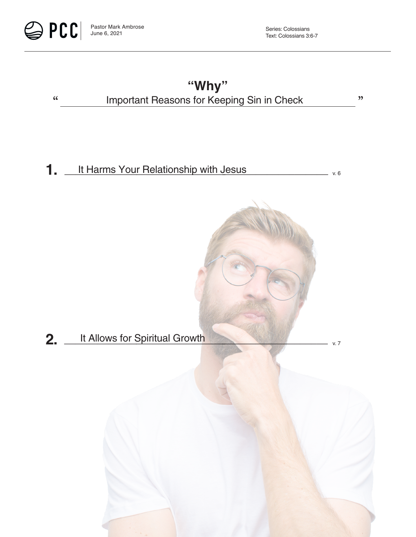